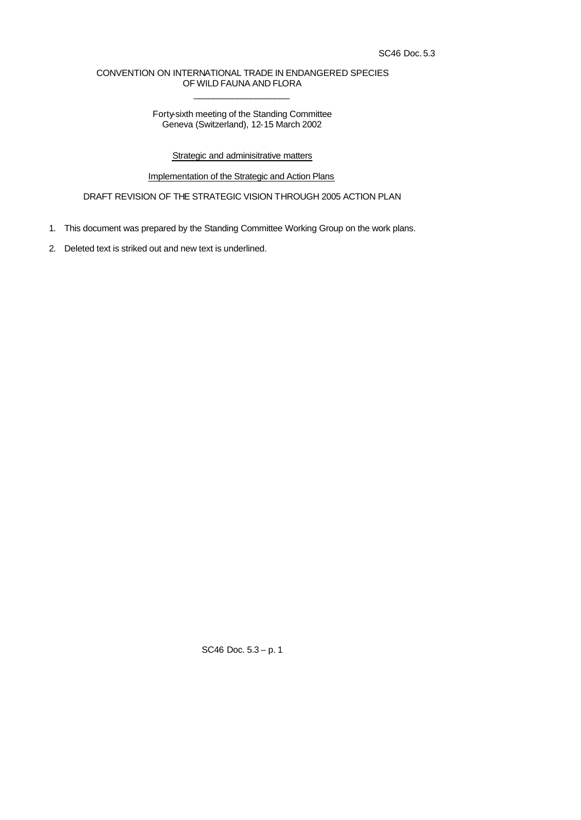## CONVENTION ON INTERNATIONAL TRADE IN ENDANGERED SPECIES OF WILD FAUNA AND FLORA  $\overline{\phantom{a}}$  , where  $\overline{\phantom{a}}$  , where  $\overline{\phantom{a}}$  , where  $\overline{\phantom{a}}$  ,  $\overline{\phantom{a}}$  ,  $\overline{\phantom{a}}$  ,  $\overline{\phantom{a}}$  ,  $\overline{\phantom{a}}$  ,  $\overline{\phantom{a}}$  ,  $\overline{\phantom{a}}$  ,  $\overline{\phantom{a}}$  ,  $\overline{\phantom{a}}$  ,  $\overline{\phantom{a}}$  ,  $\overline{\phantom{a}}$  ,  $\overline{\phantom$

Forty-sixth meeting of the Standing Committee Geneva (Switzerland), 12-15 March 2002

**Strategic and adminisitrative matters** 

Implementation of the Strategic and Action Plans

DRAFT REVISION OF THE STRATEGIC VISION THROUGH 2005 ACTION PLAN

- 1. This document was prepared by the Standing Committee Working Group on the work plans.
- 2. Deleted text is striked out and new text is underlined.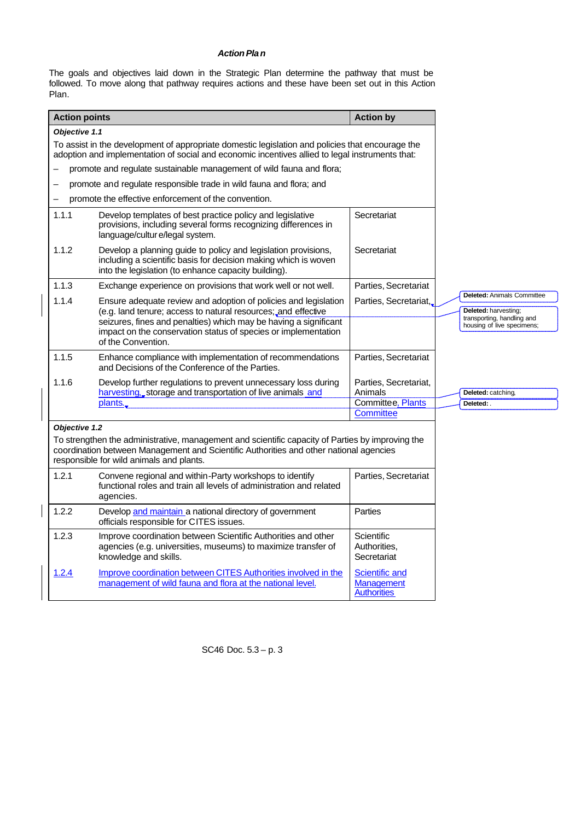## *Action Plan*

The goals and objectives laid down in the Strategic Plan determine the pathway that must be followed. To move along that pathway requires actions and these have been set out in this Action Plan.

| <b>Action points</b>                                                                                                                                                                                                                   |                                                                                                                                                                                                                                                                        | <b>Action by</b>                                                                 |                                                                                                                       |  |  |  |
|----------------------------------------------------------------------------------------------------------------------------------------------------------------------------------------------------------------------------------------|------------------------------------------------------------------------------------------------------------------------------------------------------------------------------------------------------------------------------------------------------------------------|----------------------------------------------------------------------------------|-----------------------------------------------------------------------------------------------------------------------|--|--|--|
| Objective 1.1                                                                                                                                                                                                                          |                                                                                                                                                                                                                                                                        |                                                                                  |                                                                                                                       |  |  |  |
|                                                                                                                                                                                                                                        | To assist in the development of appropriate domestic legislation and policies that encourage the<br>adoption and implementation of social and economic incentives allied to legal instruments that:                                                                    |                                                                                  |                                                                                                                       |  |  |  |
|                                                                                                                                                                                                                                        | promote and regulate sustainable management of wild fauna and flora;                                                                                                                                                                                                   |                                                                                  |                                                                                                                       |  |  |  |
|                                                                                                                                                                                                                                        | promote and regulate responsible trade in wild fauna and flora; and                                                                                                                                                                                                    |                                                                                  |                                                                                                                       |  |  |  |
|                                                                                                                                                                                                                                        | promote the effective enforcement of the convention.                                                                                                                                                                                                                   |                                                                                  |                                                                                                                       |  |  |  |
| 1.1.1                                                                                                                                                                                                                                  | Develop templates of best practice policy and legislative<br>provisions, including several forms recognizing differences in<br>language/culture/legal system.                                                                                                          | Secretariat                                                                      |                                                                                                                       |  |  |  |
| 1.1.2                                                                                                                                                                                                                                  | Develop a planning guide to policy and legislation provisions,<br>including a scientific basis for decision making which is woven<br>into the legislation (to enhance capacity building).                                                                              | Secretariat                                                                      |                                                                                                                       |  |  |  |
| 1.1.3                                                                                                                                                                                                                                  | Exchange experience on provisions that work well or not well.                                                                                                                                                                                                          | Parties, Secretariat                                                             |                                                                                                                       |  |  |  |
| 1.1.4                                                                                                                                                                                                                                  | Ensure adequate review and adoption of policies and legislation<br>(e.g. land tenure; access to natural resources; and effective<br>seizures, fines and penalties) which may be having a significant<br>impact on the conservation status of species or implementation | Parties, Secretariat,                                                            | <b>Deleted:</b> Animals Committee<br>Deleted: harvesting;<br>transporting, handling and<br>housing of live specimens; |  |  |  |
|                                                                                                                                                                                                                                        | of the Convention.                                                                                                                                                                                                                                                     |                                                                                  |                                                                                                                       |  |  |  |
| 1.1.5                                                                                                                                                                                                                                  | Enhance compliance with implementation of recommendations<br>and Decisions of the Conference of the Parties.                                                                                                                                                           | Parties, Secretariat                                                             |                                                                                                                       |  |  |  |
| 1.1.6                                                                                                                                                                                                                                  | Develop further regulations to prevent unnecessary loss during<br>harvesting, storage and transportation of live animals and<br>plants.                                                                                                                                | Parties, Secretariat,<br>Animals<br><b>Committee, Plants</b><br><b>Committee</b> | Deleted: catching,<br>Deleted:                                                                                        |  |  |  |
| Objective 1.2                                                                                                                                                                                                                          |                                                                                                                                                                                                                                                                        |                                                                                  |                                                                                                                       |  |  |  |
| To strengthen the administrative, management and scientific capacity of Parties by improving the<br>coordination between Management and Scientific Authorities and other national agencies<br>responsible for wild animals and plants. |                                                                                                                                                                                                                                                                        |                                                                                  |                                                                                                                       |  |  |  |
| 1.2.1                                                                                                                                                                                                                                  | Convene regional and within-Party workshops to identify<br>functional roles and train all levels of administration and related<br>agencies.                                                                                                                            | Parties, Secretariat                                                             |                                                                                                                       |  |  |  |
| 1.2.2                                                                                                                                                                                                                                  | Develop and maintain a national directory of government<br>officials responsible for CITES issues.                                                                                                                                                                     | Parties                                                                          |                                                                                                                       |  |  |  |
| 1.2.3                                                                                                                                                                                                                                  | Improve coordination between Scientific Authorities and other<br>agencies (e.g. universities, museums) to maximize transfer of<br>knowledge and skills.                                                                                                                | Scientific<br>Authorities,<br>Secretariat                                        |                                                                                                                       |  |  |  |
| <u>1.2.4</u>                                                                                                                                                                                                                           | Improve coordination between CITES Authorities involved in the<br>management of wild fauna and flora at the national level.                                                                                                                                            | Scientific and<br>Management<br><b>Authorities</b>                               |                                                                                                                       |  |  |  |

SC46 Doc. 5.3 – p. 3

 $\overline{\phantom{a}}$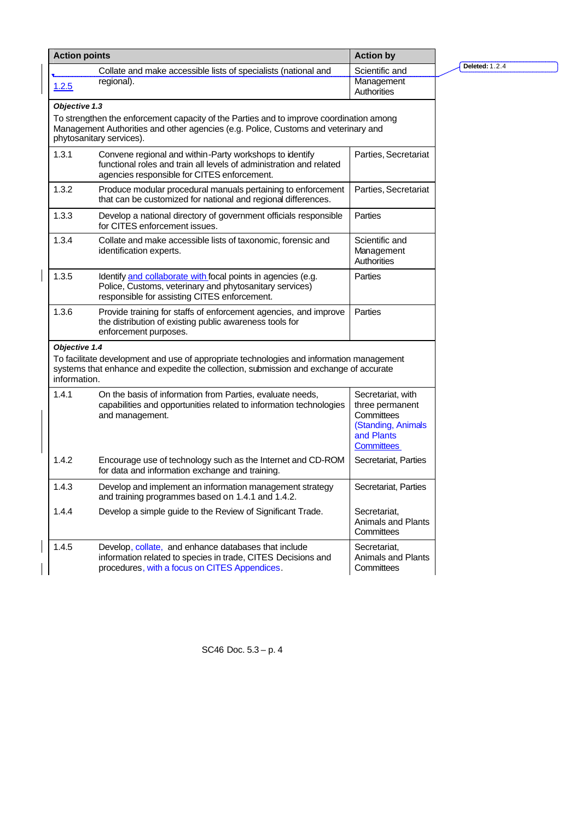| <b>Action points</b>          |                                                                                                                                                                                                           | <b>Action by</b>                                                                                            |                       |
|-------------------------------|-----------------------------------------------------------------------------------------------------------------------------------------------------------------------------------------------------------|-------------------------------------------------------------------------------------------------------------|-----------------------|
|                               | Collate and make accessible lists of specialists (national and                                                                                                                                            | Scientific and                                                                                              | <b>Deleted: 1.2.4</b> |
| 1.2.5                         | regional).                                                                                                                                                                                                | Management<br>Authorities                                                                                   |                       |
| Objective 1.3                 |                                                                                                                                                                                                           |                                                                                                             |                       |
|                               | To strengthen the enforcement capacity of the Parties and to improve coordination among<br>Management Authorities and other agencies (e.g. Police, Customs and veterinary and<br>phytosanitary services). |                                                                                                             |                       |
| 1.3.1                         | Convene regional and within-Party workshops to identify<br>functional roles and train all levels of administration and related<br>agencies responsible for CITES enforcement.                             | Parties, Secretariat                                                                                        |                       |
| 1.3.2                         | Produce modular procedural manuals pertaining to enforcement<br>that can be customized for national and regional differences.                                                                             | Parties, Secretariat                                                                                        |                       |
| 1.3.3                         | Develop a national directory of government officials responsible<br>for CITES enforcement issues.                                                                                                         | Parties                                                                                                     |                       |
| 1.3.4                         | Collate and make accessible lists of taxonomic, forensic and<br>identification experts.                                                                                                                   | Scientific and<br>Management<br>Authorities                                                                 |                       |
| 1.3.5                         | Identify and collaborate with focal points in agencies (e.g.<br>Police, Customs, veterinary and phytosanitary services)<br>responsible for assisting CITES enforcement.                                   | Parties                                                                                                     |                       |
| 1.3.6                         | Provide training for staffs of enforcement agencies, and improve<br>the distribution of existing public awareness tools for<br>enforcement purposes.                                                      | Parties                                                                                                     |                       |
| Objective 1.4<br>information. | To facilitate development and use of appropriate technologies and information management<br>systems that enhance and expedite the collection, submission and exchange of accurate                         |                                                                                                             |                       |
| 1.4.1                         | On the basis of information from Parties, evaluate needs,<br>capabilities and opportunities related to information technologies<br>and management.                                                        | Secretariat, with<br>three permanent<br>Committees<br>(Standing, Animals<br>and Plants<br><b>Committees</b> |                       |
| 1.4.2                         | Encourage use of technology such as the Internet and CD-ROM<br>for data and information exchange and training.                                                                                            | Secretariat, Parties                                                                                        |                       |
| 1.4.3                         | Develop and implement an information management strategy<br>and training programmes based on 1.4.1 and 1.4.2.                                                                                             | Secretariat, Parties                                                                                        |                       |
| 1.4.4                         | Develop a simple guide to the Review of Significant Trade.                                                                                                                                                | Secretariat,<br><b>Animals and Plants</b><br>Committees                                                     |                       |
| 1.4.5                         | Develop, collate, and enhance databases that include<br>information related to species in trade, CITES Decisions and<br>procedures, with a focus on CITES Appendices.                                     | Secretariat,<br><b>Animals and Plants</b><br>Committees                                                     |                       |

 $\overline{\mathsf{I}}$ 

 $\begin{array}{c} \rule{0pt}{2ex} \rule{0pt}{2ex} \rule{0pt}{2ex} \rule{0pt}{2ex} \rule{0pt}{2ex} \rule{0pt}{2ex} \rule{0pt}{2ex} \rule{0pt}{2ex} \rule{0pt}{2ex} \rule{0pt}{2ex} \rule{0pt}{2ex} \rule{0pt}{2ex} \rule{0pt}{2ex} \rule{0pt}{2ex} \rule{0pt}{2ex} \rule{0pt}{2ex} \rule{0pt}{2ex} \rule{0pt}{2ex} \rule{0pt}{2ex} \rule{0pt}{2ex} \rule{0pt}{2ex} \rule{0pt}{2ex} \rule{0pt}{2ex} \rule{0pt}{$ 

 $\overline{1}$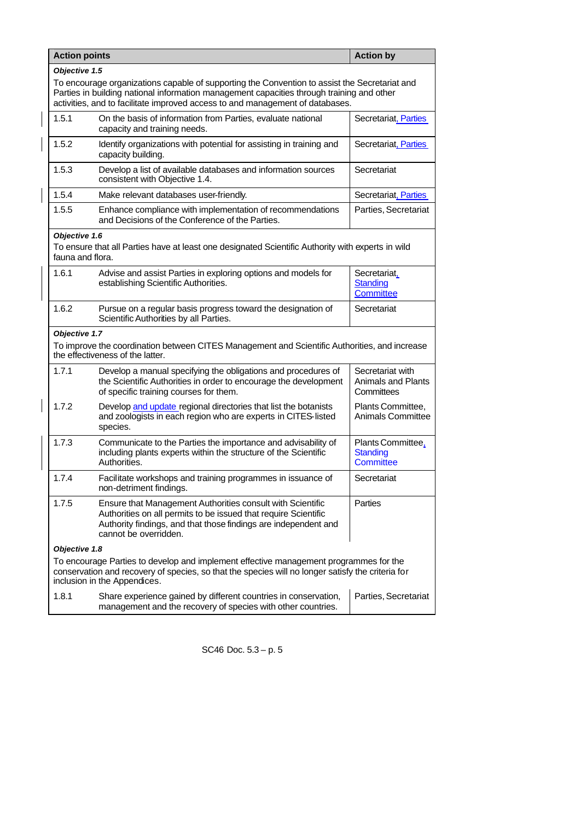| <b>Action points</b>                                                                                                                                                                                                       |                                                                                                                                                                                                                                                                             | <b>Action by</b>                                            |  |  |  |
|----------------------------------------------------------------------------------------------------------------------------------------------------------------------------------------------------------------------------|-----------------------------------------------------------------------------------------------------------------------------------------------------------------------------------------------------------------------------------------------------------------------------|-------------------------------------------------------------|--|--|--|
|                                                                                                                                                                                                                            | Objective 1.5                                                                                                                                                                                                                                                               |                                                             |  |  |  |
|                                                                                                                                                                                                                            | To encourage organizations capable of supporting the Convention to assist the Secretariat and<br>Parties in building national information management capacities through training and other<br>activities, and to facilitate improved access to and management of databases. |                                                             |  |  |  |
| 1.5.1                                                                                                                                                                                                                      | On the basis of information from Parties, evaluate national<br>capacity and training needs.                                                                                                                                                                                 | Secretariat, Parties                                        |  |  |  |
| 1.5.2                                                                                                                                                                                                                      | Identify organizations with potential for assisting in training and<br>capacity building.                                                                                                                                                                                   | Secretariat, Parties                                        |  |  |  |
| 1.5.3                                                                                                                                                                                                                      | Develop a list of available databases and information sources<br>consistent with Objective 1.4.                                                                                                                                                                             | Secretariat                                                 |  |  |  |
| 1.5.4                                                                                                                                                                                                                      | Make relevant databases user-friendly.                                                                                                                                                                                                                                      | Secretariat, Parties                                        |  |  |  |
| 1.5.5                                                                                                                                                                                                                      | Enhance compliance with implementation of recommendations<br>and Decisions of the Conference of the Parties.                                                                                                                                                                | Parties, Secretariat                                        |  |  |  |
| Objective 1.6<br>fauna and flora.                                                                                                                                                                                          | To ensure that all Parties have at least one designated Scientific Authority with experts in wild                                                                                                                                                                           |                                                             |  |  |  |
| 1.6.1                                                                                                                                                                                                                      | Advise and assist Parties in exploring options and models for<br>establishing Scientific Authorities.                                                                                                                                                                       | Secretariat,<br>Standing<br><b>Committee</b>                |  |  |  |
| 1.6.2                                                                                                                                                                                                                      | Pursue on a regular basis progress toward the designation of<br>Scientific Authorities by all Parties.                                                                                                                                                                      | Secretariat                                                 |  |  |  |
| Objective 1.7                                                                                                                                                                                                              |                                                                                                                                                                                                                                                                             |                                                             |  |  |  |
|                                                                                                                                                                                                                            | To improve the coordination between CITES Management and Scientific Authorities, and increase<br>the effectiveness of the latter.                                                                                                                                           |                                                             |  |  |  |
| 1.7.1                                                                                                                                                                                                                      | Develop a manual specifying the obligations and procedures of<br>the Scientific Authorities in order to encourage the development<br>of specific training courses for them.                                                                                                 | Secretariat with<br><b>Animals and Plants</b><br>Committees |  |  |  |
| 1.7.2                                                                                                                                                                                                                      | Develop and update regional directories that list the botanists<br>and zoologists in each region who are experts in CITES-listed<br>species.                                                                                                                                | Plants Committee,<br><b>Animals Committee</b>               |  |  |  |
| 1.7.3                                                                                                                                                                                                                      | Communicate to the Parties the importance and advisability of<br>including plants experts within the structure of the Scientific<br>Authorities.                                                                                                                            | Plants Committee.<br><b>Standing</b><br>Committee           |  |  |  |
| 1.7.4                                                                                                                                                                                                                      | Facilitate workshops and training programmes in issuance of<br>non-detriment findings.                                                                                                                                                                                      | Secretariat                                                 |  |  |  |
| 1.7.5                                                                                                                                                                                                                      | Ensure that Management Authorities consult with Scientific<br>Authorities on all permits to be issued that require Scientific<br>Authority findings, and that those findings are independent and<br>cannot be overridden.                                                   | Parties                                                     |  |  |  |
| Objective 1.8                                                                                                                                                                                                              |                                                                                                                                                                                                                                                                             |                                                             |  |  |  |
| To encourage Parties to develop and implement effective management programmes for the<br>conservation and recovery of species, so that the species will no longer satisfy the criteria for<br>inclusion in the Appendices. |                                                                                                                                                                                                                                                                             |                                                             |  |  |  |
| 1.8.1                                                                                                                                                                                                                      | Share experience gained by different countries in conservation,<br>management and the recovery of species with other countries.                                                                                                                                             | Parties, Secretariat                                        |  |  |  |

 $\overline{\phantom{a}}$ 

 $\overline{\phantom{a}}$ 

 $\overline{\phantom{a}}$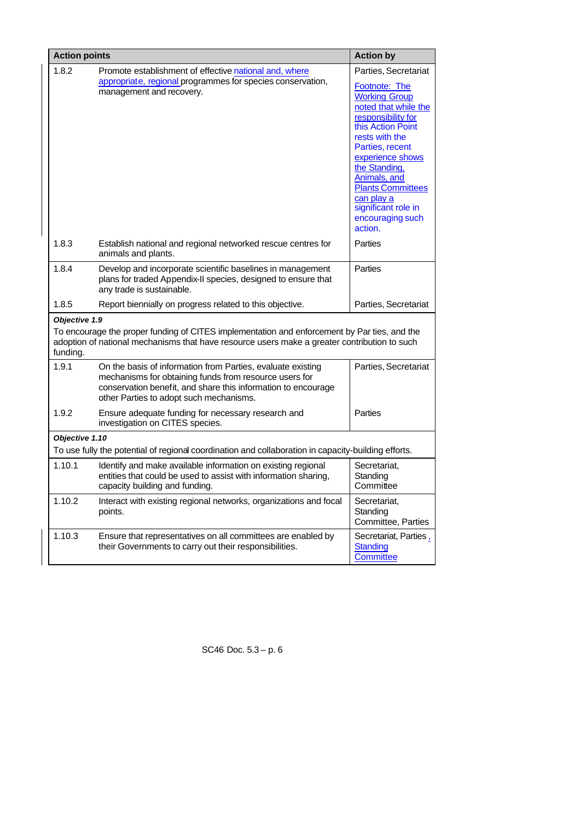| <b>Action points</b>      |                                                                                                                                                                                                                                   | <b>Action by</b>                                                                                                                                                                                                                                                                                                                  |  |  |  |
|---------------------------|-----------------------------------------------------------------------------------------------------------------------------------------------------------------------------------------------------------------------------------|-----------------------------------------------------------------------------------------------------------------------------------------------------------------------------------------------------------------------------------------------------------------------------------------------------------------------------------|--|--|--|
| 1.8.2                     | Promote establishment of effective national and, where<br>appropriate, regional programmes for species conservation,<br>management and recovery.                                                                                  | Parties, Secretariat<br><b>Footnote: The</b><br><b>Working Group</b><br>noted that while the<br>responsibility for<br>this Action Point<br>rests with the<br>Parties, recent<br>experience shows<br>the Standing.<br>Animals, and<br><b>Plants Committees</b><br>can play a<br>significant role in<br>encouraging such<br>action. |  |  |  |
| 1.8.3                     | Establish national and regional networked rescue centres for<br>animals and plants.                                                                                                                                               | Parties                                                                                                                                                                                                                                                                                                                           |  |  |  |
| 1.8.4                     | Develop and incorporate scientific baselines in management<br>plans for traded Appendix-II species, designed to ensure that<br>any trade is sustainable.                                                                          | Parties                                                                                                                                                                                                                                                                                                                           |  |  |  |
| 1.8.5                     | Report biennially on progress related to this objective.                                                                                                                                                                          | Parties, Secretariat                                                                                                                                                                                                                                                                                                              |  |  |  |
| Objective 1.9<br>funding. | To encourage the proper funding of CITES implementation and enforcement by Par ties, and the<br>adoption of national mechanisms that have resource users make a greater contribution to such                                      |                                                                                                                                                                                                                                                                                                                                   |  |  |  |
| 1.9.1                     | On the basis of information from Parties, evaluate existing<br>mechanisms for obtaining funds from resource users for<br>conservation benefit, and share this information to encourage<br>other Parties to adopt such mechanisms. | Parties, Secretariat                                                                                                                                                                                                                                                                                                              |  |  |  |
| 1.9.2                     | Ensure adequate funding for necessary research and<br>investigation on CITES species.                                                                                                                                             | Parties                                                                                                                                                                                                                                                                                                                           |  |  |  |
|                           | Objective 1.10                                                                                                                                                                                                                    |                                                                                                                                                                                                                                                                                                                                   |  |  |  |
|                           | To use fully the potential of regional coordination and collaboration in capacity-building efforts.                                                                                                                               |                                                                                                                                                                                                                                                                                                                                   |  |  |  |
| 1.10.1                    | Identify and make available information on existing regional<br>entities that could be used to assist with information sharing,<br>capacity building and funding.                                                                 | Secretariat,<br>Standing<br>Committee                                                                                                                                                                                                                                                                                             |  |  |  |
| 1.10.2                    | Interact with existing regional networks, organizations and focal<br>points.                                                                                                                                                      | Secretariat,<br>Standing<br>Committee, Parties                                                                                                                                                                                                                                                                                    |  |  |  |
| 1.10.3                    | Ensure that representatives on all committees are enabled by<br>their Governments to carry out their responsibilities.                                                                                                            | Secretariat, Parties,<br><b>Standing</b><br>Committee                                                                                                                                                                                                                                                                             |  |  |  |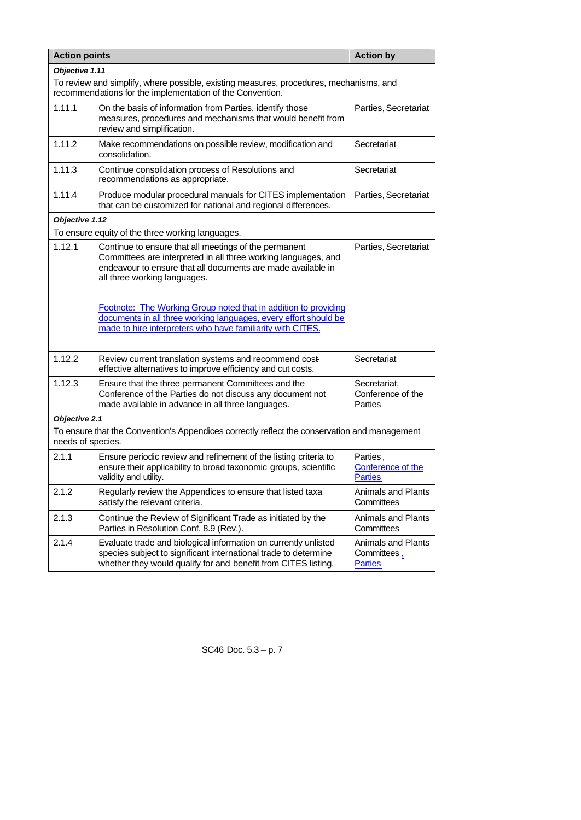| <b>Action points</b> |                                                                                                                                                                                                                         | <b>Action by</b>                                           |  |  |  |
|----------------------|-------------------------------------------------------------------------------------------------------------------------------------------------------------------------------------------------------------------------|------------------------------------------------------------|--|--|--|
| Objective 1.11       |                                                                                                                                                                                                                         |                                                            |  |  |  |
|                      | To review and simplify, where possible, existing measures, procedures, mechanisms, and<br>recommendations for the implementation of the Convention.                                                                     |                                                            |  |  |  |
| 1.11.1               | On the basis of information from Parties, identify those<br>measures, procedures and mechanisms that would benefit from<br>review and simplification.                                                                   | Parties, Secretariat                                       |  |  |  |
| 1.11.2               | Make recommendations on possible review, modification and<br>consolidation.                                                                                                                                             | Secretariat                                                |  |  |  |
| 1.11.3               | Continue consolidation process of Resolutions and<br>recommendations as appropriate.                                                                                                                                    | Secretariat                                                |  |  |  |
| 1.11.4               | Produce modular procedural manuals for CITES implementation<br>that can be customized for national and regional differences.                                                                                            | Parties, Secretariat                                       |  |  |  |
| Objective 1.12       |                                                                                                                                                                                                                         |                                                            |  |  |  |
|                      | To ensure equity of the three working languages.                                                                                                                                                                        |                                                            |  |  |  |
| 1.12.1               | Continue to ensure that all meetings of the permanent<br>Committees are interpreted in all three working languages, and<br>endeavour to ensure that all documents are made available in<br>all three working languages. | Parties, Secretariat                                       |  |  |  |
|                      | Footnote: The Working Group noted that in addition to providing<br>documents in all three working languages, every effort should be<br>made to hire interpreters who have familiarity with CITES.                       |                                                            |  |  |  |
| 1.12.2               | Review current translation systems and recommend cost-<br>effective alternatives to improve efficiency and cut costs.                                                                                                   | Secretariat                                                |  |  |  |
| 1.12.3               | Ensure that the three permanent Committees and the<br>Conference of the Parties do not discuss any document not<br>made available in advance in all three languages.                                                    | Secretariat,<br>Conference of the<br>Parties               |  |  |  |
| Objective 2.1        |                                                                                                                                                                                                                         |                                                            |  |  |  |
| needs of species.    | To ensure that the Convention's Appendices correctly reflect the conservation and management                                                                                                                            |                                                            |  |  |  |
| 2.1.1                | Ensure periodic review and refinement of the listing criteria to<br>ensure their applicability to broad taxonomic groups, scientific<br>validity and utility.                                                           | Parties,<br>Conference of the<br><b>Parties</b>            |  |  |  |
| 2.1.2                | Regularly review the Appendices to ensure that listed taxa<br>satisfy the relevant criteria.                                                                                                                            | Animals and Plants<br>Committees                           |  |  |  |
| 2.1.3                | Continue the Review of Significant Trade as initiated by the<br>Parties in Resolution Conf. 8.9 (Rev.).                                                                                                                 | <b>Animals and Plants</b><br>Committees                    |  |  |  |
| 2.1.4                | Evaluate trade and biological information on currently unlisted<br>species subject to significant international trade to determine<br>whether they would qualify for and benefit from CITES listing.                    | <b>Animals and Plants</b><br>Committees,<br><b>Parties</b> |  |  |  |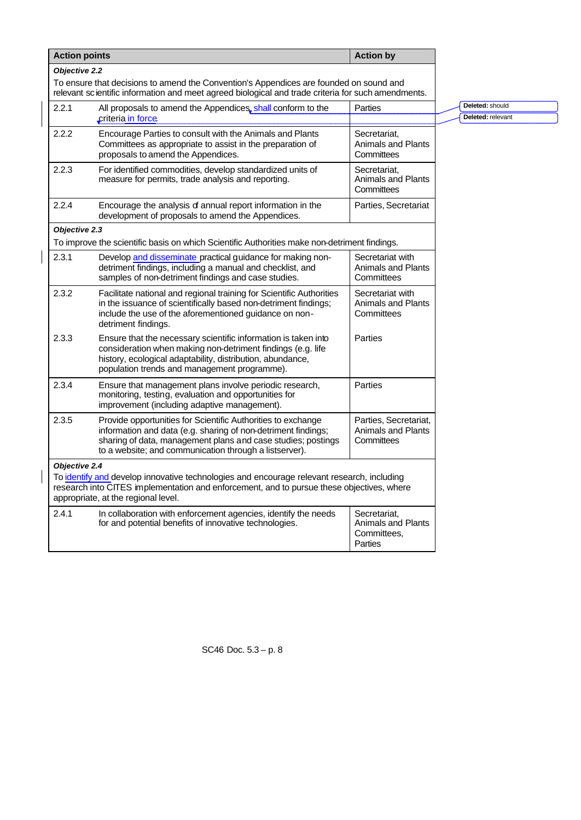| <b>Action points</b> |                                                                                                                                                                                                                                                         | <b>Action by</b>                                                    |                                      |
|----------------------|---------------------------------------------------------------------------------------------------------------------------------------------------------------------------------------------------------------------------------------------------------|---------------------------------------------------------------------|--------------------------------------|
| Objective 2.2        |                                                                                                                                                                                                                                                         |                                                                     |                                      |
|                      | To ensure that decisions to amend the Convention's Appendices are founded on sound and<br>relevant scientific information and meet agreed biological and trade criteria for such amendments.                                                            |                                                                     |                                      |
| 2.2.1                | All proposals to amend the Appendices, shall conform to the<br>criteria in force                                                                                                                                                                        | Parties                                                             | Deleted: should<br>Deleted: relevant |
| 2.2.2                | Encourage Parties to consult with the Animals and Plants<br>Committees as appropriate to assist in the preparation of<br>proposals to amend the Appendices.                                                                                             | Secretariat,<br><b>Animals and Plants</b><br>Committees             |                                      |
| 2.2.3                | For identified commodities, develop standardized units of<br>measure for permits, trade analysis and reporting.                                                                                                                                         | Secretariat,<br><b>Animals and Plants</b><br>Committees             |                                      |
| 2.2.4                | Encourage the analysis of annual report information in the<br>development of proposals to amend the Appendices.                                                                                                                                         | Parties, Secretariat                                                |                                      |
| Objective 2.3        |                                                                                                                                                                                                                                                         |                                                                     |                                      |
|                      | To improve the scientific basis on which Scientific Authorities make non-detriment findings.                                                                                                                                                            |                                                                     |                                      |
| 2.3.1                | Develop and disseminate practical guidance for making non-<br>detriment findings, including a manual and checklist, and<br>samples of non-detriment findings and case studies.                                                                          | Secretariat with<br><b>Animals and Plants</b><br>Committees         |                                      |
| 2.3.2                | Facilitate national and regional training for Scientific Authorities<br>in the issuance of scientifically based non-detriment findings;<br>include the use of the aforementioned guidance on non-<br>detriment findings.                                | Secretariat with<br><b>Animals and Plants</b><br>Committees         |                                      |
| 2.3.3                | Ensure that the necessary scientific information is taken into<br>consideration when making non-detriment findings (e.g. life<br>history, ecological adaptability, distribution, abundance,<br>population trends and management programme).             | Parties                                                             |                                      |
| 2.3.4                | Ensure that management plans involve periodic research,<br>monitoring, testing, evaluation and opportunities for<br>improvement (including adaptive management).                                                                                        | Parties                                                             |                                      |
| 2.3.5                | Provide opportunities for Scientific Authorities to exchange<br>information and data (e.g. sharing of non-detriment findings;<br>sharing of data, management plans and case studies; postings<br>to a website; and communication through a listserver). | Parties, Secretariat,<br><b>Animals and Plants</b><br>Committees    |                                      |
| Objective 2.4        | To identify and develop innovative technologies and encourage relevant research, including<br>research into CITES implementation and enforcement, and to pursue these objectives, where<br>appropriate, at the regional level.                          |                                                                     |                                      |
| 2.4.1                | In collaboration with enforcement agencies, identify the needs<br>for and potential benefits of innovative technologies.                                                                                                                                | Secretariat.<br><b>Animals and Plants</b><br>Committees,<br>Parties |                                      |

 $\overline{\mathbf{I}}$ 

 $\overline{\mathbf{I}}$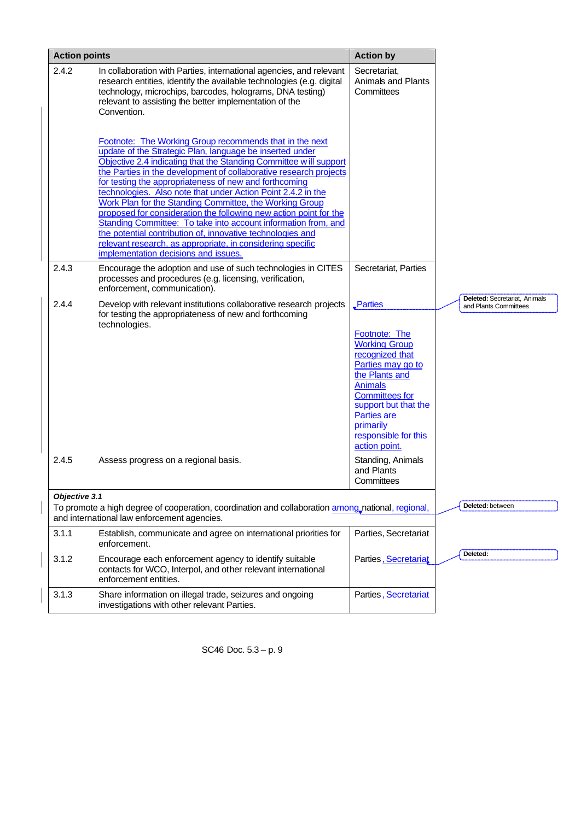| <b>Action points</b> |                                                                                                                                                                                                                                                                                                                                                                                                                                                                                                                                                                                                                                                                                                                                                               | <b>Action by</b>                                                                                                                                                                                                                                                               |                                                        |
|----------------------|---------------------------------------------------------------------------------------------------------------------------------------------------------------------------------------------------------------------------------------------------------------------------------------------------------------------------------------------------------------------------------------------------------------------------------------------------------------------------------------------------------------------------------------------------------------------------------------------------------------------------------------------------------------------------------------------------------------------------------------------------------------|--------------------------------------------------------------------------------------------------------------------------------------------------------------------------------------------------------------------------------------------------------------------------------|--------------------------------------------------------|
| 2.4.2                | In collaboration with Parties, international agencies, and relevant<br>research entities, identify the available technologies (e.g. digital<br>technology, microchips, barcodes, holograms, DNA testing)<br>relevant to assisting the better implementation of the<br>Convention.                                                                                                                                                                                                                                                                                                                                                                                                                                                                             | Secretariat,<br>Animals and Plants<br>Committees                                                                                                                                                                                                                               |                                                        |
|                      | Footnote: The Working Group recommends that in the next<br>update of the Strategic Plan, language be inserted under<br>Objective 2.4 indicating that the Standing Committee will support<br>the Parties in the development of collaborative research projects<br>for testing the appropriateness of new and forthcoming<br>technologies. Also note that under Action Point 2.4.2 in the<br>Work Plan for the Standing Committee, the Working Group<br>proposed for consideration the following new action point for the<br>Standing Committee: To take into account information from, and<br>the potential contribution of, innovative technologies and<br>relevant research, as appropriate, in considering specific<br>implementation decisions and issues. |                                                                                                                                                                                                                                                                                |                                                        |
| 2.4.3                | Encourage the adoption and use of such technologies in CITES<br>processes and procedures (e.g. licensing, verification,<br>enforcement, communication).                                                                                                                                                                                                                                                                                                                                                                                                                                                                                                                                                                                                       | Secretariat, Parties                                                                                                                                                                                                                                                           |                                                        |
| 2.4.4<br>2.4.5       | Develop with relevant institutions collaborative research projects<br>for testing the appropriateness of new and forthcoming<br>technologies.<br>Assess progress on a regional basis.                                                                                                                                                                                                                                                                                                                                                                                                                                                                                                                                                                         | Parties<br><b>Footnote: The</b><br><b>Working Group</b><br>recognized that<br>Parties may go to<br>the Plants and<br><b>Animals</b><br><b>Committees for</b><br>support but that the<br>Parties are<br>primarily<br>responsible for this<br>action point.<br>Standing, Animals | Deleted: Secretariat, Animals<br>and Plants Committees |
|                      |                                                                                                                                                                                                                                                                                                                                                                                                                                                                                                                                                                                                                                                                                                                                                               | and Plants<br>Committees                                                                                                                                                                                                                                                       |                                                        |
| Objective 3.1        |                                                                                                                                                                                                                                                                                                                                                                                                                                                                                                                                                                                                                                                                                                                                                               |                                                                                                                                                                                                                                                                                | Deleted: between                                       |
|                      | To promote a high degree of cooperation, coordination and collaboration among national, regional,<br>and international law enforcement agencies.                                                                                                                                                                                                                                                                                                                                                                                                                                                                                                                                                                                                              |                                                                                                                                                                                                                                                                                |                                                        |
| 3.1.1                | Establish, communicate and agree on international priorities for<br>enforcement.                                                                                                                                                                                                                                                                                                                                                                                                                                                                                                                                                                                                                                                                              | Parties, Secretariat                                                                                                                                                                                                                                                           |                                                        |
| 3.1.2                | Encourage each enforcement agency to identify suitable<br>contacts for WCO, Interpol, and other relevant international<br>enforcement entities.                                                                                                                                                                                                                                                                                                                                                                                                                                                                                                                                                                                                               | Parties, Secretariat                                                                                                                                                                                                                                                           | Deleted:                                               |
| 3.1.3                | Share information on illegal trade, seizures and ongoing<br>investigations with other relevant Parties.                                                                                                                                                                                                                                                                                                                                                                                                                                                                                                                                                                                                                                                       | Parties, Secretariat                                                                                                                                                                                                                                                           |                                                        |

 $\overline{\phantom{a}}$ 

 $\overline{\phantom{a}}$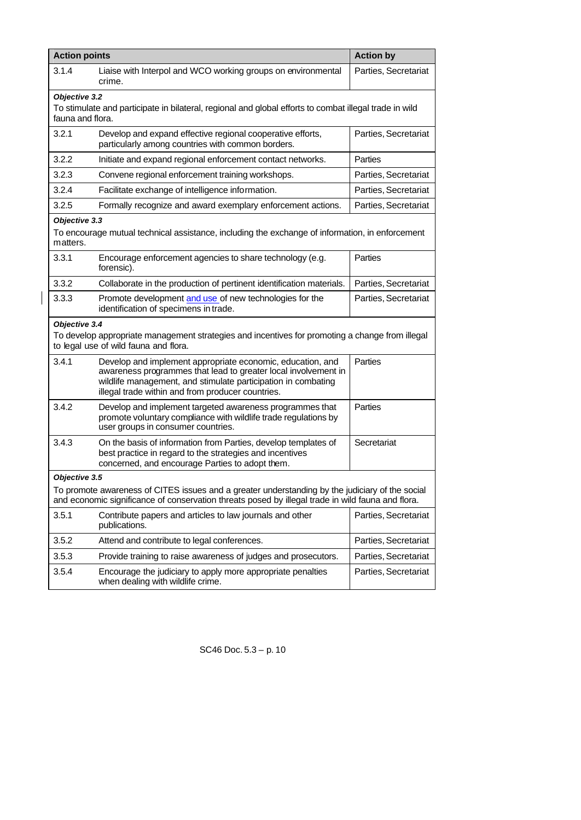| <b>Action points</b>                                                                                                                                                                                 |                                                                                                                                                                                                                                                    | <b>Action by</b>     |  |  |
|------------------------------------------------------------------------------------------------------------------------------------------------------------------------------------------------------|----------------------------------------------------------------------------------------------------------------------------------------------------------------------------------------------------------------------------------------------------|----------------------|--|--|
| 3.1.4                                                                                                                                                                                                | Liaise with Interpol and WCO working groups on environmental<br>crime.                                                                                                                                                                             | Parties, Secretariat |  |  |
|                                                                                                                                                                                                      | Objective 3.2<br>To stimulate and participate in bilateral, regional and global efforts to combat illegal trade in wild<br>fauna and flora.                                                                                                        |                      |  |  |
| 3.2.1                                                                                                                                                                                                | Develop and expand effective regional cooperative efforts,<br>particularly among countries with common borders.                                                                                                                                    | Parties, Secretariat |  |  |
| 3.2.2                                                                                                                                                                                                | Initiate and expand regional enforcement contact networks.                                                                                                                                                                                         | Parties              |  |  |
| 3.2.3                                                                                                                                                                                                | Convene regional enforcement training workshops.                                                                                                                                                                                                   | Parties, Secretariat |  |  |
| 3.2.4                                                                                                                                                                                                | Facilitate exchange of intelligence information.                                                                                                                                                                                                   | Parties, Secretariat |  |  |
| 3.2.5                                                                                                                                                                                                | Formally recognize and award exemplary enforcement actions.                                                                                                                                                                                        | Parties, Secretariat |  |  |
| Objective 3.3<br>matters.                                                                                                                                                                            | To encourage mutual technical assistance, including the exchange of information, in enforcement                                                                                                                                                    |                      |  |  |
| 3.3.1                                                                                                                                                                                                | Encourage enforcement agencies to share technology (e.g.<br>forensic).                                                                                                                                                                             | Parties              |  |  |
| 3.3.2                                                                                                                                                                                                | Collaborate in the production of pertinent identification materials.                                                                                                                                                                               | Parties, Secretariat |  |  |
| 3.3.3                                                                                                                                                                                                | Promote development and use of new technologies for the<br>identification of specimens in trade.                                                                                                                                                   | Parties, Secretariat |  |  |
| Objective 3.4                                                                                                                                                                                        | To develop appropriate management strategies and incentives for promoting a change from illegal<br>to legal use of wild fauna and flora.                                                                                                           |                      |  |  |
| 3.4.1                                                                                                                                                                                                | Develop and implement appropriate economic, education, and<br>awareness programmes that lead to greater local involvement in<br>wildlife management, and stimulate participation in combating<br>illegal trade within and from producer countries. | Parties              |  |  |
| 3.4.2                                                                                                                                                                                                | Develop and implement targeted awareness programmes that<br>promote voluntary compliance with wildlife trade regulations by<br>user groups in consumer countries.                                                                                  | Parties              |  |  |
| 3.4.3                                                                                                                                                                                                | On the basis of information from Parties, develop templates of<br>best practice in regard to the strategies and incentives<br>concerned, and encourage Parties to adopt them.                                                                      | Secretariat          |  |  |
| Objective 3.5                                                                                                                                                                                        |                                                                                                                                                                                                                                                    |                      |  |  |
| To promote awareness of CITES issues and a greater understanding by the judiciary of the social<br>and economic significance of conservation threats posed by illegal trade in wild fauna and flora. |                                                                                                                                                                                                                                                    |                      |  |  |
| 3.5.1                                                                                                                                                                                                | Contribute papers and articles to law journals and other<br>publications.                                                                                                                                                                          | Parties, Secretariat |  |  |
| 3.5.2                                                                                                                                                                                                | Attend and contribute to legal conferences.                                                                                                                                                                                                        | Parties, Secretariat |  |  |
| 3.5.3                                                                                                                                                                                                | Provide training to raise awareness of judges and prosecutors.                                                                                                                                                                                     | Parties, Secretariat |  |  |
| 3.5.4                                                                                                                                                                                                | Encourage the judiciary to apply more appropriate penalties<br>when dealing with wildlife crime.                                                                                                                                                   | Parties, Secretariat |  |  |

 $\begin{array}{c} \hline \end{array}$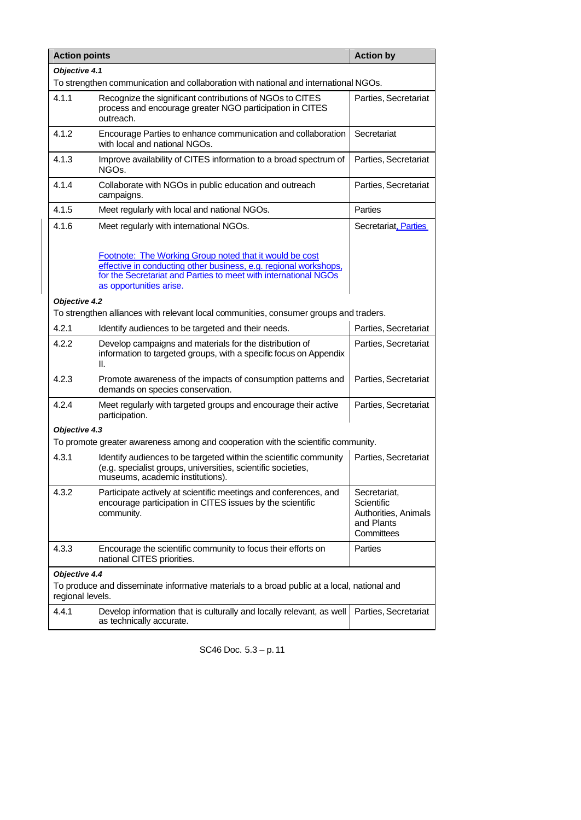| <b>Action points</b>                                                                                            |                                                                                                                                                                                                                           | <b>Action by</b>                                                               |  |  |  |
|-----------------------------------------------------------------------------------------------------------------|---------------------------------------------------------------------------------------------------------------------------------------------------------------------------------------------------------------------------|--------------------------------------------------------------------------------|--|--|--|
|                                                                                                                 | Objective 4.1                                                                                                                                                                                                             |                                                                                |  |  |  |
| To strengthen communication and collaboration with national and international NGOs.                             |                                                                                                                                                                                                                           |                                                                                |  |  |  |
| 4.1.1                                                                                                           | Recognize the significant contributions of NGOs to CITES<br>process and encourage greater NGO participation in CITES<br>outreach.                                                                                         | Parties, Secretariat                                                           |  |  |  |
| 4.1.2                                                                                                           | Encourage Parties to enhance communication and collaboration<br>with local and national NGOs.                                                                                                                             | Secretariat                                                                    |  |  |  |
| 4.1.3                                                                                                           | Improve availability of CITES information to a broad spectrum of<br>NGOs.                                                                                                                                                 | Parties, Secretariat                                                           |  |  |  |
| 4.1.4                                                                                                           | Collaborate with NGOs in public education and outreach<br>campaigns.                                                                                                                                                      | Parties, Secretariat                                                           |  |  |  |
| 4.1.5                                                                                                           | Meet regularly with local and national NGOs.                                                                                                                                                                              | Parties                                                                        |  |  |  |
| 4.1.6                                                                                                           | Meet regularly with international NGOs.                                                                                                                                                                                   | Secretariat, Parties                                                           |  |  |  |
|                                                                                                                 | Footnote: The Working Group noted that it would be cost<br>effective in conducting other business, e.g. regional workshops,<br>for the Secretariat and Parties to meet with international NGOs<br>as opportunities arise. |                                                                                |  |  |  |
| Objective 4.2                                                                                                   |                                                                                                                                                                                                                           |                                                                                |  |  |  |
|                                                                                                                 | To strengthen alliances with relevant local communities, consumer groups and traders.                                                                                                                                     |                                                                                |  |  |  |
| 4.2.1                                                                                                           | Identify audiences to be targeted and their needs.                                                                                                                                                                        | Parties, Secretariat                                                           |  |  |  |
| 4.2.2                                                                                                           | Develop campaigns and materials for the distribution of<br>information to targeted groups, with a specific focus on Appendix<br>Ⅱ.                                                                                        | Parties, Secretariat                                                           |  |  |  |
| 4.2.3                                                                                                           | Promote awareness of the impacts of consumption patterns and<br>demands on species conservation.                                                                                                                          | Parties, Secretariat                                                           |  |  |  |
| 4.2.4                                                                                                           | Meet regularly with targeted groups and encourage their active<br>participation.                                                                                                                                          | Parties, Secretariat                                                           |  |  |  |
| Objective 4.3                                                                                                   |                                                                                                                                                                                                                           |                                                                                |  |  |  |
|                                                                                                                 | To promote greater awareness among and cooperation with the scientific community.                                                                                                                                         |                                                                                |  |  |  |
| 4.3.1                                                                                                           | Identify audiences to be targeted within the scientific community<br>(e.g. specialist groups, universities, scientific societies,<br>museums, academic institutions).                                                     | Parties, Secretariat                                                           |  |  |  |
| 4.3.2                                                                                                           | Participate actively at scientific meetings and conferences, and<br>encourage participation in CITES issues by the scientific<br>community.                                                                               | Secretariat,<br>Scientific<br>Authorities, Animals<br>and Plants<br>Committees |  |  |  |
| 4.3.3                                                                                                           | Encourage the scientific community to focus their efforts on<br>national CITES priorities.                                                                                                                                | Parties                                                                        |  |  |  |
| Objective 4.4                                                                                                   |                                                                                                                                                                                                                           |                                                                                |  |  |  |
| To produce and disseminate informative materials to a broad public at a local, national and<br>regional levels. |                                                                                                                                                                                                                           |                                                                                |  |  |  |
| 4.4.1                                                                                                           | Develop information that is culturally and locally relevant, as well<br>as technically accurate.                                                                                                                          | Parties, Secretariat                                                           |  |  |  |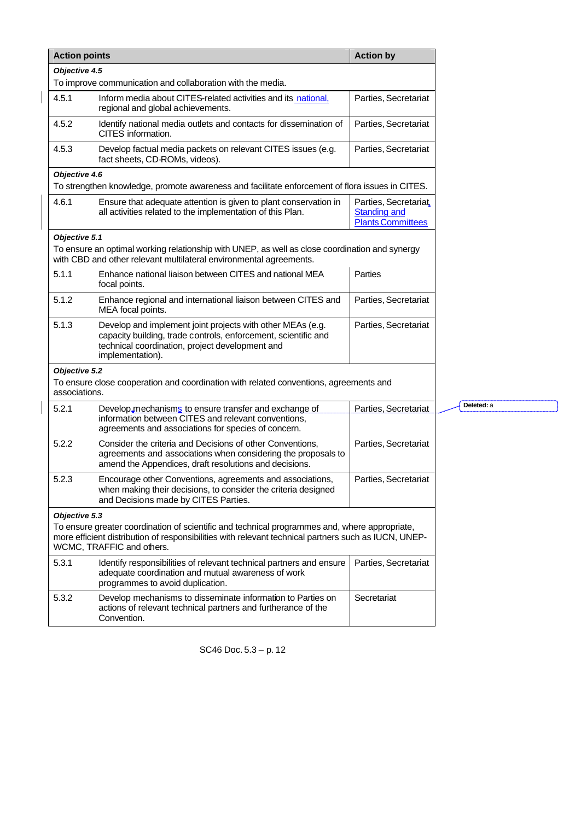| <b>Action points</b>           |                                                                                                                                                                                                                                    | <b>Action by</b>                                                         |
|--------------------------------|------------------------------------------------------------------------------------------------------------------------------------------------------------------------------------------------------------------------------------|--------------------------------------------------------------------------|
| Objective 4.5                  |                                                                                                                                                                                                                                    |                                                                          |
|                                | To improve communication and collaboration with the media.                                                                                                                                                                         |                                                                          |
| 4.5.1                          | Inform media about CITES-related activities and its national,<br>regional and global achievements.                                                                                                                                 | Parties, Secretariat                                                     |
| 4.5.2                          | Identify national media outlets and contacts for dissemination of<br>CITES information.                                                                                                                                            | Parties, Secretariat                                                     |
| 4.5.3                          | Develop factual media packets on relevant CITES issues (e.g.<br>fact sheets, CD-ROMs, videos).                                                                                                                                     | Parties, Secretariat                                                     |
| Objective 4.6                  |                                                                                                                                                                                                                                    |                                                                          |
|                                | To strengthen knowledge, promote awareness and facilitate enforcement of flora issues in CITES.                                                                                                                                    |                                                                          |
| 4.6.1                          | Ensure that adequate attention is given to plant conservation in<br>all activities related to the implementation of this Plan.                                                                                                     | Parties, Secretariat.<br><b>Standing and</b><br><b>Plants Committees</b> |
| Objective 5.1                  |                                                                                                                                                                                                                                    |                                                                          |
|                                | To ensure an optimal working relationship with UNEP, as well as close coordination and synergy<br>with CBD and other relevant multilateral environmental agreements.                                                               |                                                                          |
| 5.1.1                          | Enhance national liaison between CITES and national MEA<br>focal points.                                                                                                                                                           | Parties                                                                  |
| 5.1.2                          | Enhance regional and international liaison between CITES and<br>MEA focal points.                                                                                                                                                  | Parties, Secretariat                                                     |
| 5.1.3                          | Develop and implement joint projects with other MEAs (e.g.<br>capacity building, trade controls, enforcement, scientific and<br>technical coordination, project development and<br>implementation).                                | Parties, Secretariat                                                     |
| Objective 5.2<br>associations. | To ensure close cooperation and coordination with related conventions, agreements and                                                                                                                                              |                                                                          |
| 5.2.1                          | Develop mechanisms to ensure transfer and exchange of                                                                                                                                                                              | Parties, Secretariat                                                     |
|                                | information between CITES and relevant conventions,<br>agreements and associations for species of concern.                                                                                                                         |                                                                          |
| 5.2.2                          | Consider the criteria and Decisions of other Conventions,<br>agreements and associations when considering the proposals to<br>amend the Appendices, draft resolutions and decisions.                                               | Parties, Secretariat                                                     |
| 5.2.3                          | Encourage other Conventions, agreements and associations,<br>when making their decisions, to consider the criteria designed<br>and Decisions made by CITES Parties.                                                                | Parties. Secretariat                                                     |
| Objective 5.3                  | To ensure greater coordination of scientific and technical programmes and, where appropriate,<br>more efficient distribution of responsibilities with relevant technical partners such as IUCN, UNEP-<br>WCMC, TRAFFIC and others. |                                                                          |
| 5.3.1                          | Identify responsibilities of relevant technical partners and ensure<br>adequate coordination and mutual awareness of work<br>programmes to avoid duplication.                                                                      | Parties, Secretariat                                                     |
| 5.3.2                          | Develop mechanisms to disseminate information to Parties on<br>actions of relevant technical partners and furtherance of the<br>Convention.                                                                                        | Secretariat                                                              |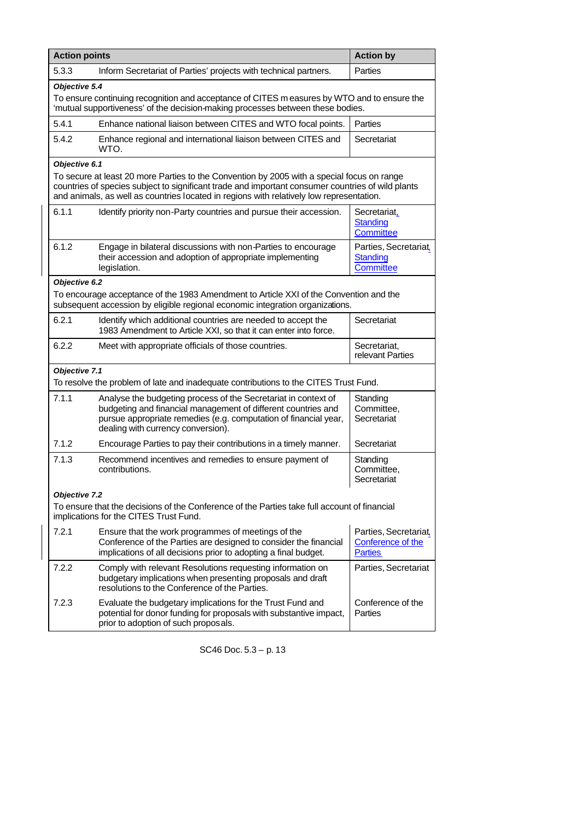| <b>Action points</b>                                                                                                                                                                           |                                                                                                                                                                                                                                                                                             | <b>Action by</b>                                             |  |
|------------------------------------------------------------------------------------------------------------------------------------------------------------------------------------------------|---------------------------------------------------------------------------------------------------------------------------------------------------------------------------------------------------------------------------------------------------------------------------------------------|--------------------------------------------------------------|--|
| 5.3.3                                                                                                                                                                                          | Inform Secretariat of Parties' projects with technical partners.                                                                                                                                                                                                                            | Parties                                                      |  |
| Objective 5.4<br>To ensure continuing recognition and acceptance of CITES m easures by WTO and to ensure the<br>'mutual supportiveness' of the decision-making processes between these bodies. |                                                                                                                                                                                                                                                                                             |                                                              |  |
| 5.4.1                                                                                                                                                                                          | Enhance national liaison between CITES and WTO focal points.                                                                                                                                                                                                                                | Parties                                                      |  |
| 5.4.2                                                                                                                                                                                          | Enhance regional and international liaison between CITES and<br>WTO.                                                                                                                                                                                                                        | Secretariat                                                  |  |
| Objective 6.1                                                                                                                                                                                  | To secure at least 20 more Parties to the Convention by 2005 with a special focus on range<br>countries of species subject to significant trade and important consumer countries of wild plants<br>and animals, as well as countries located in regions with relatively low representation. |                                                              |  |
| 6.1.1                                                                                                                                                                                          | Identify priority non-Party countries and pursue their accession.                                                                                                                                                                                                                           | Secretariat.<br>Standing<br><b>Committee</b>                 |  |
| 6.1.2                                                                                                                                                                                          | Engage in bilateral discussions with non-Parties to encourage<br>their accession and adoption of appropriate implementing<br>legislation.                                                                                                                                                   | Parties, Secretariat,<br>Standing<br>Committee               |  |
| Objective 6.2                                                                                                                                                                                  |                                                                                                                                                                                                                                                                                             |                                                              |  |
|                                                                                                                                                                                                | To encourage acceptance of the 1983 Amendment to Article XXI of the Convention and the<br>subsequent accession by eligible regional economic integration organizations.                                                                                                                     |                                                              |  |
| 6.2.1                                                                                                                                                                                          | Identify which additional countries are needed to accept the<br>1983 Amendment to Article XXI, so that it can enter into force.                                                                                                                                                             | Secretariat                                                  |  |
| 6.2.2                                                                                                                                                                                          | Meet with appropriate officials of those countries.                                                                                                                                                                                                                                         | Secretariat,<br>relevant Parties                             |  |
| Objective 7.1                                                                                                                                                                                  | To resolve the problem of late and inadequate contributions to the CITES Trust Fund.                                                                                                                                                                                                        |                                                              |  |
| 7.1.1                                                                                                                                                                                          | Analyse the budgeting process of the Secretariat in context of<br>budgeting and financial management of different countries and<br>pursue appropriate remedies (e.g. computation of financial year,<br>dealing with currency conversion).                                                   | Standing<br>Committee,<br>Secretariat                        |  |
| 7.1.2                                                                                                                                                                                          | Encourage Parties to pay their contributions in a timely manner.                                                                                                                                                                                                                            | Secretariat                                                  |  |
| 7.1.3                                                                                                                                                                                          | Recommend incentives and remedies to ensure payment of<br>contributions.                                                                                                                                                                                                                    | Standing<br>Committee,<br>Secretariat                        |  |
| Objective 7.2<br>To ensure that the decisions of the Conference of the Parties take full account of financial<br>implications for the CITES Trust Fund.                                        |                                                                                                                                                                                                                                                                                             |                                                              |  |
| 7.2.1                                                                                                                                                                                          | Ensure that the work programmes of meetings of the<br>Conference of the Parties are designed to consider the financial<br>implications of all decisions prior to adopting a final budget.                                                                                                   | Parties, Secretariat,<br>Conference of the<br><b>Parties</b> |  |
| 7.2.2                                                                                                                                                                                          | Comply with relevant Resolutions requesting information on<br>budgetary implications when presenting proposals and draft<br>resolutions to the Conference of the Parties.                                                                                                                   | Parties, Secretariat                                         |  |
| 7.2.3                                                                                                                                                                                          | Evaluate the budgetary implications for the Trust Fund and<br>potential for donor funding for proposals with substantive impact,<br>prior to adoption of such proposals.                                                                                                                    | Conference of the<br>Parties                                 |  |